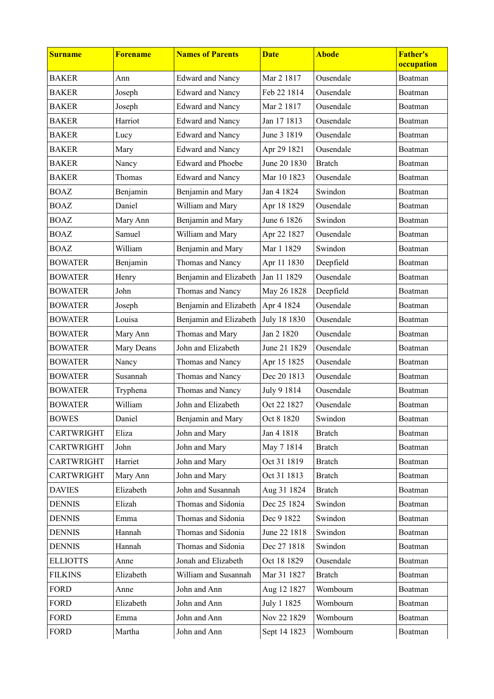| <b>Surname</b>    | <b>Forename</b> | <b>Names of Parents</b>  | <b>Date</b>  | <b>Abode</b>  | <b>Father's</b><br>occupation |
|-------------------|-----------------|--------------------------|--------------|---------------|-------------------------------|
| <b>BAKER</b>      | Ann             | <b>Edward and Nancy</b>  | Mar 2 1817   | Ousendale     | Boatman                       |
| <b>BAKER</b>      | Joseph          | <b>Edward and Nancy</b>  | Feb 22 1814  | Ousendale     | Boatman                       |
| <b>BAKER</b>      | Joseph          | <b>Edward and Nancy</b>  | Mar 2 1817   | Ousendale     | Boatman                       |
| <b>BAKER</b>      | Harriot         | <b>Edward and Nancy</b>  | Jan 17 1813  | Ousendale     | Boatman                       |
| <b>BAKER</b>      | Lucy            | <b>Edward and Nancy</b>  | June 3 1819  | Ousendale     | Boatman                       |
| <b>BAKER</b>      | Mary            | <b>Edward and Nancy</b>  | Apr 29 1821  | Ousendale     | Boatman                       |
| <b>BAKER</b>      | Nancy           | <b>Edward and Phoebe</b> | June 20 1830 | <b>Bratch</b> | Boatman                       |
| <b>BAKER</b>      | Thomas          | <b>Edward and Nancy</b>  | Mar 10 1823  | Ousendale     | Boatman                       |
| <b>BOAZ</b>       | Benjamin        | Benjamin and Mary        | Jan 4 1824   | Swindon       | Boatman                       |
| <b>BOAZ</b>       | Daniel          | William and Mary         | Apr 18 1829  | Ousendale     | Boatman                       |
| <b>BOAZ</b>       | Mary Ann        | Benjamin and Mary        | June 6 1826  | Swindon       | Boatman                       |
| <b>BOAZ</b>       | Samuel          | William and Mary         | Apr 22 1827  | Ousendale     | Boatman                       |
| <b>BOAZ</b>       | William         | Benjamin and Mary        | Mar 1 1829   | Swindon       | Boatman                       |
| <b>BOWATER</b>    | Benjamin        | Thomas and Nancy         | Apr 11 1830  | Deepfield     | Boatman                       |
| <b>BOWATER</b>    | Henry           | Benjamin and Elizabeth   | Jan 11 1829  | Ousendale     | Boatman                       |
| <b>BOWATER</b>    | John            | Thomas and Nancy         | May 26 1828  | Deepfield     | Boatman                       |
| <b>BOWATER</b>    | Joseph          | Benjamin and Elizabeth   | Apr 4 1824   | Ousendale     | Boatman                       |
| <b>BOWATER</b>    | Louisa          | Benjamin and Elizabeth   | July 18 1830 | Ousendale     | Boatman                       |
| <b>BOWATER</b>    | Mary Ann        | Thomas and Mary          | Jan 2 1820   | Ousendale     | Boatman                       |
| <b>BOWATER</b>    | Mary Deans      | John and Elizabeth       | June 21 1829 | Ousendale     | Boatman                       |
| <b>BOWATER</b>    | Nancy           | Thomas and Nancy         | Apr 15 1825  | Ousendale     | Boatman                       |
| <b>BOWATER</b>    | Susannah        | Thomas and Nancy         | Dec 20 1813  | Ousendale     | Boatman                       |
| <b>BOWATER</b>    | Tryphena        | Thomas and Nancy         | July 9 1814  | Ousendale     | Boatman                       |
| <b>BOWATER</b>    | William         | John and Elizabeth       | Oct 22 1827  | Ousendale     | Boatman                       |
| <b>BOWES</b>      | Daniel          | Benjamin and Mary        | Oct 8 1820   | Swindon       | Boatman                       |
| CARTWRIGHT        | Eliza           | John and Mary            | Jan 4 1818   | <b>Bratch</b> | Boatman                       |
| CARTWRIGHT        | John            | John and Mary            | May 7 1814   | <b>Bratch</b> | Boatman                       |
| <b>CARTWRIGHT</b> | Harriet         | John and Mary            | Oct 31 1819  | <b>Bratch</b> | Boatman                       |
| CARTWRIGHT        | Mary Ann        | John and Mary            | Oct 31 1813  | <b>Bratch</b> | Boatman                       |
| <b>DAVIES</b>     | Elizabeth       | John and Susannah        | Aug 31 1824  | <b>Bratch</b> | Boatman                       |
| <b>DENNIS</b>     | Elizah          | Thomas and Sidonia       | Dec 25 1824  | Swindon       | Boatman                       |
| <b>DENNIS</b>     | Emma            | Thomas and Sidonia       | Dec 9 1822   | Swindon       | Boatman                       |
| <b>DENNIS</b>     | Hannah          | Thomas and Sidonia       | June 22 1818 | Swindon       | Boatman                       |
| <b>DENNIS</b>     | Hannah          | Thomas and Sidonia       | Dec 27 1818  | Swindon       | Boatman                       |
| <b>ELLIOTTS</b>   | Anne            | Jonah and Elizabeth      | Oct 18 1829  | Ousendale     | Boatman                       |
| <b>FILKINS</b>    | Elizabeth       | William and Susannah     | Mar 31 1827  | <b>Bratch</b> | Boatman                       |
| <b>FORD</b>       | Anne            | John and Ann             | Aug 12 1827  | Wombourn      | Boatman                       |
| <b>FORD</b>       | Elizabeth       | John and Ann             | July 1 1825  | Wombourn      | Boatman                       |
| <b>FORD</b>       | Emma            | John and Ann             | Nov 22 1829  | Wombourn      | Boatman                       |
| <b>FORD</b>       | Martha          | John and Ann             | Sept 14 1823 | Wombourn      | Boatman                       |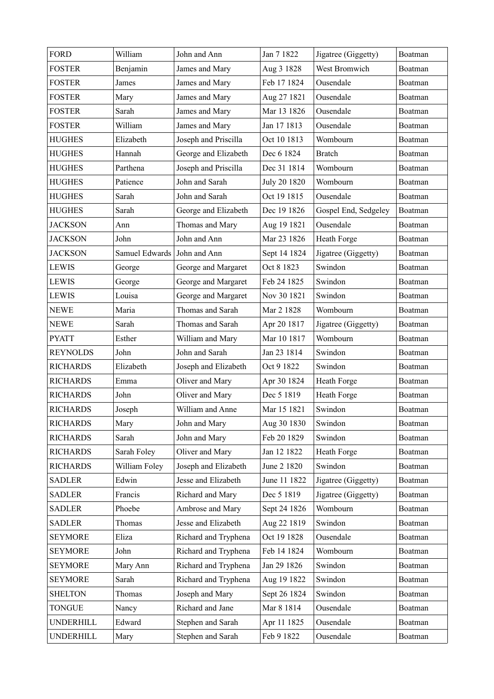| <b>FORD</b>      | William                     | John and Ann         | Jan 7 1822   | Jigatree (Giggetty)  | Boatman |
|------------------|-----------------------------|----------------------|--------------|----------------------|---------|
| <b>FOSTER</b>    | Benjamin                    | James and Mary       | Aug 3 1828   | West Bromwich        | Boatman |
| <b>FOSTER</b>    | James                       | James and Mary       | Feb 17 1824  | Ousendale            | Boatman |
| <b>FOSTER</b>    | Mary                        | James and Mary       | Aug 27 1821  | Ousendale            | Boatman |
| <b>FOSTER</b>    | Sarah                       | James and Mary       | Mar 13 1826  | Ousendale            | Boatman |
| <b>FOSTER</b>    | William                     | James and Mary       | Jan 17 1813  | Ousendale            | Boatman |
| <b>HUGHES</b>    | Elizabeth                   | Joseph and Priscilla | Oct 10 1813  | Wombourn             | Boatman |
| <b>HUGHES</b>    | Hannah                      | George and Elizabeth | Dec 6 1824   | <b>Bratch</b>        | Boatman |
| <b>HUGHES</b>    | Parthena                    | Joseph and Priscilla | Dec 31 1814  | Wombourn             | Boatman |
| <b>HUGHES</b>    | Patience                    | John and Sarah       | July 20 1820 | Wombourn             | Boatman |
| <b>HUGHES</b>    | Sarah                       | John and Sarah       | Oct 19 1815  | Ousendale            | Boatman |
| <b>HUGHES</b>    | Sarah                       | George and Elizabeth | Dec 19 1826  | Gospel End, Sedgeley | Boatman |
| <b>JACKSON</b>   | Ann                         | Thomas and Mary      | Aug 19 1821  | Ousendale            | Boatman |
| <b>JACKSON</b>   | John                        | John and Ann         | Mar 23 1826  | Heath Forge          | Boatman |
| <b>JACKSON</b>   | Samuel Edwards John and Ann |                      | Sept 14 1824 | Jigatree (Giggetty)  | Boatman |
| <b>LEWIS</b>     | George                      | George and Margaret  | Oct 8 1823   | Swindon              | Boatman |
| <b>LEWIS</b>     | George                      | George and Margaret  | Feb 24 1825  | Swindon              | Boatman |
| <b>LEWIS</b>     | Louisa                      | George and Margaret  | Nov 30 1821  | Swindon              | Boatman |
| <b>NEWE</b>      | Maria                       | Thomas and Sarah     | Mar 2 1828   | Wombourn             | Boatman |
| <b>NEWE</b>      | Sarah                       | Thomas and Sarah     | Apr 20 1817  | Jigatree (Giggetty)  | Boatman |
| <b>PYATT</b>     | Esther                      | William and Mary     | Mar 10 1817  | Wombourn             | Boatman |
| <b>REYNOLDS</b>  | John                        | John and Sarah       | Jan 23 1814  | Swindon              | Boatman |
| <b>RICHARDS</b>  | Elizabeth                   | Joseph and Elizabeth | Oct 9 1822   | Swindon              | Boatman |
| <b>RICHARDS</b>  | Emma                        | Oliver and Mary      | Apr 30 1824  | Heath Forge          | Boatman |
| <b>RICHARDS</b>  | John                        | Oliver and Mary      | Dec 5 1819   | Heath Forge          | Boatman |
| <b>RICHARDS</b>  | Joseph                      | William and Anne     | Mar 15 1821  | Swindon              | Boatman |
| <b>RICHARDS</b>  | Mary                        | John and Mary        | Aug 30 1830  | Swindon              | Boatman |
| <b>RICHARDS</b>  | Sarah                       | John and Mary        | Feb 20 1829  | Swindon              | Boatman |
| <b>RICHARDS</b>  | Sarah Foley                 | Oliver and Mary      | Jan 12 1822  | Heath Forge          | Boatman |
| <b>RICHARDS</b>  | William Foley               | Joseph and Elizabeth | June 2 1820  | Swindon              | Boatman |
| <b>SADLER</b>    | Edwin                       | Jesse and Elizabeth  | June 11 1822 | Jigatree (Giggetty)  | Boatman |
| <b>SADLER</b>    | Francis                     | Richard and Mary     | Dec 5 1819   | Jigatree (Giggetty)  | Boatman |
| <b>SADLER</b>    | Phoebe                      | Ambrose and Mary     | Sept 24 1826 | Wombourn             | Boatman |
| <b>SADLER</b>    | Thomas                      | Jesse and Elizabeth  | Aug 22 1819  | Swindon              | Boatman |
| <b>SEYMORE</b>   | Eliza                       | Richard and Tryphena | Oct 19 1828  | Ousendale            | Boatman |
| <b>SEYMORE</b>   | John                        | Richard and Tryphena | Feb 14 1824  | Wombourn             | Boatman |
| <b>SEYMORE</b>   | Mary Ann                    | Richard and Tryphena | Jan 29 1826  | Swindon              | Boatman |
| <b>SEYMORE</b>   | Sarah                       | Richard and Tryphena | Aug 19 1822  | Swindon              | Boatman |
| <b>SHELTON</b>   | Thomas                      | Joseph and Mary      | Sept 26 1824 | Swindon              | Boatman |
| <b>TONGUE</b>    | Nancy                       | Richard and Jane     | Mar 8 1814   | Ousendale            | Boatman |
| UNDERHILL        | Edward                      | Stephen and Sarah    | Apr 11 1825  | Ousendale            | Boatman |
| <b>UNDERHILL</b> | Mary                        | Stephen and Sarah    | Feb 9 1822   | Ousendale            | Boatman |